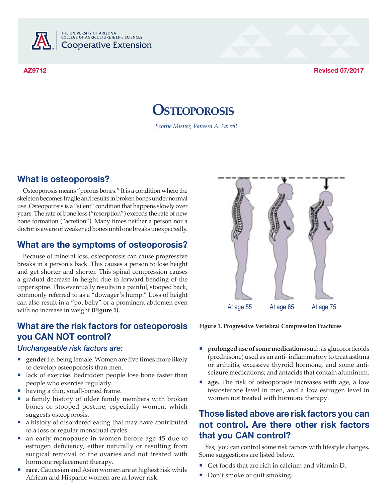

THE UNIVERSITY OF ARIZONA<br>COLLEGE OF AGRICULTURE & LIFE SCIENCES **Cooperative Extension** 

**AZ9712 Revised 07/2017**

# **Osteoporosis**

*Scottie Misner, Vanessa A. Farrell*

### **What is osteoporosis?**

Osteoporosis means "porous bones." It is a condition where the skeleton becomes fragile and results in broken bones under normal use. Osteoporosis is a "silent" condition that happens slowly over years. The rate of bone loss ("resorption") exceeds the rate of new bone formation ("acretion"). Many times neither a person nor a doctor is aware of weakened bones until one breaks unexpectedly.

### **What are the symptoms of osteoporosis?**

Because of mineral loss, osteoporosis can cause progressive breaks in a person's back. This causes a person to lose height and get shorter and shorter. This spinal compression causes a gradual decrease in height due to forward bending of the upper spine. This eventually results in a painful, stooped back, commonly referred to as a "dowager's hump." Loss of height can also result in a "pot belly" or a prominent abdomen even with no increase in weight **(Figure 1)**.

# **What are the risk factors for osteoporosis you CAN NOT control?**

#### *Unchangeable risk factors are:*

- ¡ **gender** i.e. being female. Women are five times more likely to develop osteoporosis than men.
- ¡ lack of exercise. Bedridden people lose bone faster than people who exercise regularly.
- ¡having a thin, small-boned frame.
- ¡ a family history of older family members with broken bones or stooped posture, especially women, which suggests osteoporosis.
- ¡ a history of disordered eating that may have contributed to a loss of regular menstrual cycles.
- ¡ an early menopause in women before age 45 due to estrogen deficiency, either naturally or resulting from surgical removal of the ovaries and not treated with hormone replacement therapy.
- race. Caucasian and Asian women are at highest risk while African and Hispanic women are at lower risk.



**Figure 1. Progressive Vertebral Compression Fractures**

- ¡ **prolonged use of some medications** such as glucocorticoids (prednisone) used as an anti- inflammatory to treat asthma or arthritis, excessive thyroid hormone, and some antiseizure medications; and antacids that contain aluminum.
- age. The risk of osteoporosis increases with age, a low testosterone level in men, and a low estrogen level in women not treated with hormone therapy.

### **Those listed above are risk factors you can not control. Are there other risk factors that you CAN control?**

Yes, you can control some risk factors with lifestyle changes. Some suggestions are listed below.

- Get foods that are rich in calcium and vitamin D.
- Don't smoke or quit smoking.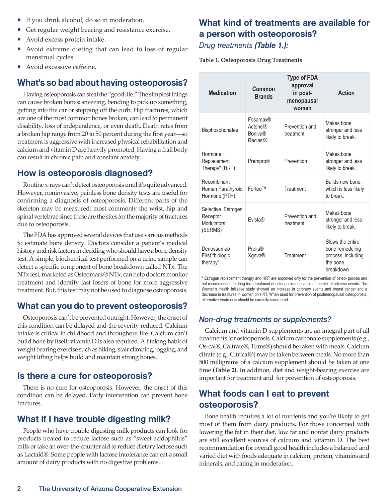- ¡If you drink alcohol, do so in moderation.
- ¡Get regular weight bearing and resistance exercise.
- ¡Avoid excess protein intake.
- ¡ Avoid extreme dieting that can lead to loss of regular menstrual cycles.
- ¡Avoid excessive caffeine.

#### **What's so bad about having osteoporosis?**

Having osteoporosis can steal the "good life." The simplest things can cause broken bones: sneezing, bending to pick up something, getting into the car or stepping off the curb. Hip fractures, which are one of the most common bones broken, can lead to permanent disability, loss of independence, or even death. Death rates from a broken hip range from 20 to 50 percent during the first year―so treatment is aggressive with increased physical rehabilitation and calcium and vitamin D are heavily promoted. Having a frail body can result in chronic pain and constant anxiety.

#### **How is osteoporosis diagnosed?**

Routine x-rays can't detect osteoporosis until it's quite advanced. However, noninvasive, painless bone density tests are useful for confirming a diagnosis of osteoporosis. Different parts of the skeleton may be measured: most commonly the wrist, hip and spinal vertebrae since these are the sites for the majority of fractures due to osteoporosis.

The FDA has approved several devices that use various methods to estimate bone density. Doctors consider a patient's medical history and risk factors in deciding who should have a bone density test. A simple, biochemical test performed on a urine sample can detect a specific component of bone breakdown called NTx. The NTx test, marketed as Osteomark® NTx, can help doctors monitor treatment and identify fast losers of bone for more aggressive treatment. But, this test may not be used to diagnose osteoporosis.

#### **What can you do to prevent osteoporosis?**

Osteoporosis can't be prevented outright. However, the onset of this condition can be delayed and the severity reduced. Calcium intake is critical in childhood and throughout life. Calcium can't build bone by itself; vitamin D is also required. A lifelong habit of weight bearing exercise such as hiking, stair climbing, jogging, and weight lifting helps build and maintain strong bones.

#### **Is there a cure for osteoporosis?**

There is no cure for osteoporosis. However, the onset of this condition can be delayed. Early intervention can prevent bone fractures.

#### **What if I have trouble digesting milk?**

People who have trouble digesting milk products can look for products treated to reduce lactose such as "sweet acidophilus" milk or take an over-the-counter aid to reduce dietary lactose such as Lactaid®. Some people with lactose intolerance can eat a small amount of dairy products with no digestive problems.

### **What kind of treatments are available for a person with osteoporosis?** *Drug treatments (Table 1.):*

**Table 1. Osteoporosis Drug Treatments**

| <b>Medication</b>                                       | Common<br><b>Brands</b>                                          | <b>Type of FDA</b><br>approval<br>in post-<br>menopausal<br>women | <b>Action</b>                                                                      |
|---------------------------------------------------------|------------------------------------------------------------------|-------------------------------------------------------------------|------------------------------------------------------------------------------------|
| <b>Bisphosphonates</b>                                  | Fosamax®<br><b>Actonel®</b><br><b>Boniva®</b><br><b>Reclast®</b> | Prevention and<br>treatment                                       | Makes bone<br>stronger and less<br>likely to break.                                |
| Hormone<br>Replacement<br>Therapy* (HRT)                | Prempro®                                                         | Prevention                                                        | Makes bone<br>stronger and less<br>likely to break.                                |
| Recombinant<br>Human Parathyroid<br>Hormone (PTH)       | Forteo™                                                          | Treatment                                                         | Builds new bone,<br>which is less likely<br>to break                               |
| Selective Estrogen<br>Receptor<br>Modulators<br>(SERMS) | <b>Fvista®</b>                                                   | Prevention and<br>treatment                                       | Makes bone<br>stronger and less<br>likely to break.                                |
| Denosaumab<br>First "biologic<br>therapy".              | <b>Prolia®</b><br>Xgeva®                                         | Treatment                                                         | Slows the entire<br>bone remodeling<br>process, including<br>the bone<br>breakdown |

\* Estrogen replacement therapy and HRT are approved only for the prevention of osteo- porosis and not recommended for long-term treatment of osteoporosis because of the risk of adverse events. The Women's Health Initiative study showed an increase in coronary events and breast cancer and a decrease in fractures in women on HRT. When used for prevention of postmenopausal osteoporosis, alternative treatments should be carefully considered.

#### *Non-drug treatments or supplements?*

Calcium and vitamin D supplements are an integral part of all treatments for osteoporosis. Calcium carbonate supplements (e.g., Os-cal®, Caltrate®, Tums®) should be taken with meals. Calcium citrate (e.g., Citrical®) may be taken between meals. No more than 500 milligrams of a calcium supplement should be taken at one time **(Table 2)**. In addition, diet and weight-bearing exercise are important for treatment and for prevention of osteoporosis.

### **What foods can I eat to prevent osteoporosis?**

Bone health requires a lot of nutrients and you're likely to get most of them from dairy products. For those concerned with lowering the fat in their diet, low fat and nonfat dairy products are still excellent sources of calcium and vitamin D. The best recommendation for overall good health includes a balanced and varied diet with foods adequate in calcium, protein, vitamins and minerals, and eating in moderation.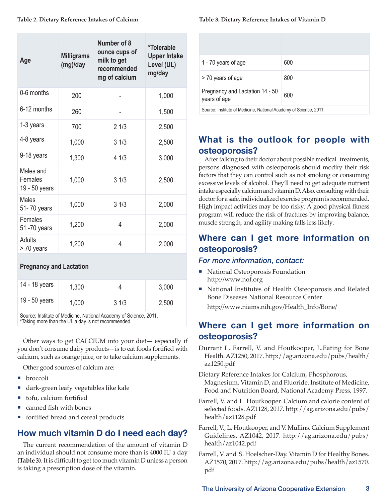| Age                                   | <b>Milligrams</b><br>(mg)/day | Number of 8<br>ounce cups of<br>milk to get<br>recommended<br>mg of calcium | *Tolerable<br><b>Upper Intake</b><br>Level (UL)<br>mg/day |
|---------------------------------------|-------------------------------|-----------------------------------------------------------------------------|-----------------------------------------------------------|
| 0-6 months                            | 200                           |                                                                             | 1,000                                                     |
| 6-12 months                           | 260                           |                                                                             | 1,500                                                     |
| 1-3 years                             | 700                           | 21/3                                                                        | 2,500                                                     |
| 4-8 years                             | 1,000                         | 31/3                                                                        | 2,500                                                     |
| 9-18 years                            | 1,300                         | 4 1/3                                                                       | 3,000                                                     |
| Males and<br>Females<br>19 - 50 years | 1,000                         | 31/3                                                                        | 2,500                                                     |
| Males<br>51-70 years                  | 1,000                         | 31/3                                                                        | 2,000                                                     |
| Females<br>51 -70 years               | 1,200                         | 4                                                                           | 2,000                                                     |
| Adults<br>> 70 years                  | 1,200                         | 4                                                                           | 2,000                                                     |

#### **Pregnancy and Lactation**

| 14 - 18 years | 1,300 |      | 3,000 |
|---------------|-------|------|-------|
| 19 - 50 years | 1,000 | 31/3 | 2,500 |
|               |       | .    | ----  |

Source: Institute of Medicine, National Academy of Science, 2011. \*Taking more than the UL a day is not recommended.

Other ways to get CALCIUM into your diet— especially if you don't consume dairy products—is to eat foods fortified with calcium, such as orange juice, or to take calcium supplements.

Other good sources of calcium are:

- **broccoli**
- ¡dark-green leafy vegetables like kale
- tofu, calcium fortified
- ¡canned fish with bones
- ¡fortified bread and cereal products

# **How much vitamin D do I need each day?**

The current recommendation of the amount of vitamin D an individual should not consume more than is 4000 IU a day **(Table 3)**. It is difficult to get too much vitamin D unless a person is taking a prescription dose of the vitamin.

#### **Table 3. Dietary Reference Intakes of Vitamin D**

| 1 - 70 years of age                                               | 600 |
|-------------------------------------------------------------------|-----|
| > 70 years of age                                                 | 800 |
| Pregnancy and Lactation 14 - 50<br>years of age                   | 600 |
| Source: Institute of Medicine, National Academy of Science, 2011. |     |

# **What is the outlook for people with osteoporosis?**

After talking to their doctor about possible medical treatments, persons diagnosed with osteoporosis should modify their risk factors that they can control such as not smoking or consuming excessive levels of alcohol. They'll need to get adequate nutrient intake especially calcium and vitamin D. Also, consulting with their doctor for a safe, individualized exercise program is recommended. High impact activities may be too risky. A good physical fitness program will reduce the risk of fractures by improving balance, muscle strength, and agility making falls less likely.

# **Where can I get more information on osteoporosis?**

#### *For more information, contact:*

- National Osteoporosis Foundation http://www.nof.org
- ¡ National Institutes of Health Osteoporosis and Related Bone Diseases National Resource Center http://www.niams.nih.gov/Health\_Info/Bone/

### **Where can I get more information on osteoporosis?**

Durrant L, Farrell, V. and Houtkooper, L.Eating for Bone Health. AZ1250, 2017. http://ag.arizona.edu/pubs/health/ az1250.pdf

Dietary Reference Intakes for Calcium, Phosphorous, Magnesium, Vitamin D, and Fluoride. Institute of Medicine, Food and Nutrition Board, National Academy Press, 1997.

- Farrell, V. and L. Houtkooper. Calcium and calorie content of selected foods. AZ1128, 2017. http://ag.arizona.edu/pubs/ health/az1128.pdf
- Farrell, V., L. Houtkooper, and V. Mullins. Calcium Supplement Guidelines. AZ1042, 2017. http://ag.arizona.edu/pubs/ health/az1042.pdf
- Farrell, V. and S. Hoelscher-Day. Vitamin D for Healthy Bones. AZ1570, 2017. http://ag.arizona.edu/pubs/health/az1570. pdf